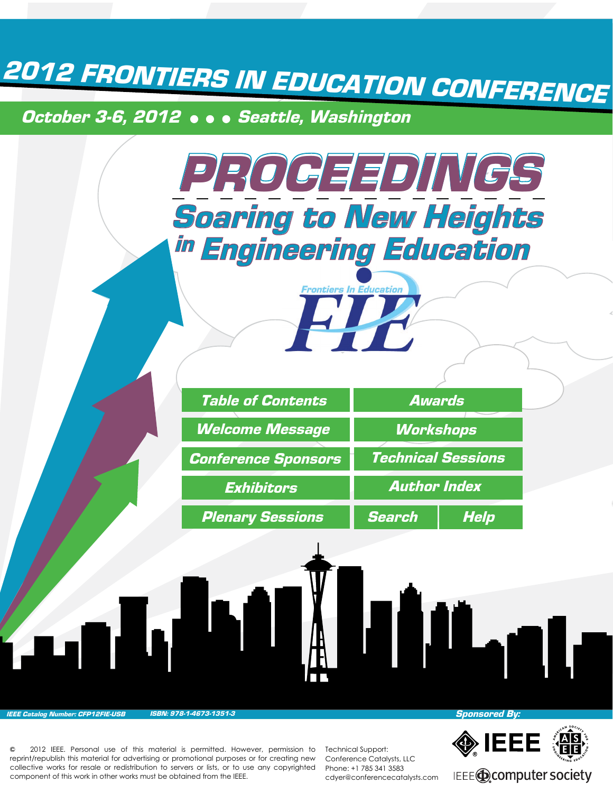*2012 FRONTIERS IN EDUCATION CONFERENCE*

*October 3-6, 2012 Seattle, Washington*



*IEEE Catalog Number: CFP12FIE-USB ISBN: 978-1-4673-1351-3*

 2012 IEEE. Personal use of this material is permitted. However, permission to reprint/republish this material for advertising or promotional purposes or for creating new collective works for resale or redistribution to servers or lists, or to use any copyrighted component of this work in other works must be obtained from the IEEE.

Technical Support: Conference Catalysts, LLC Phone: +1 785 341 3583 cdyer@conferencecatalysts.com *Sponsored By:*



IEEE@computer society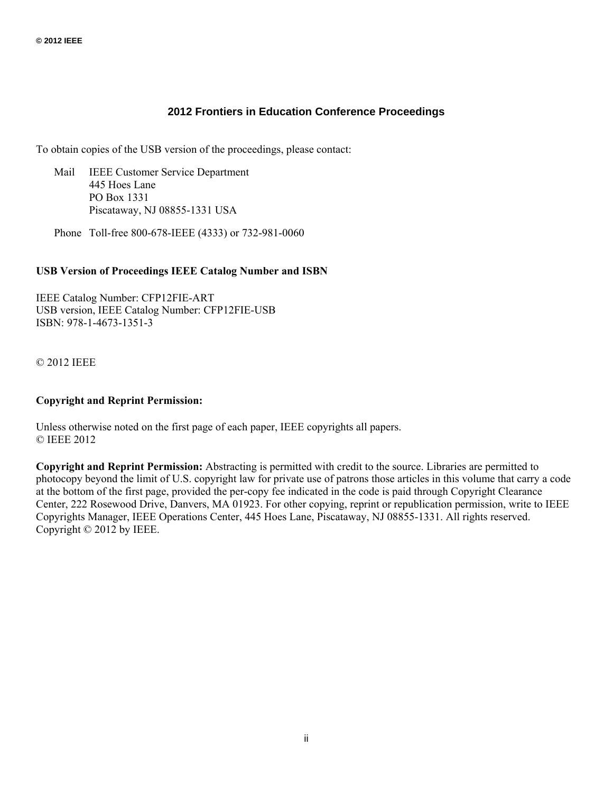#### **2012 Frontiers in Education Conference Proceedings**

To obtain copies of the USB version of the proceedings, please contact:

 Mail IEEE Customer Service Department 445 Hoes Lane PO Box 1331 Piscataway, NJ 08855-1331 USA

Phone Toll-free 800-678-IEEE (4333) or 732-981-0060

#### **USB Version of Proceedings IEEE Catalog Number and ISBN**

IEEE Catalog Number: CFP12FIE-ART USB version, IEEE Catalog Number: CFP12FIE-USB ISBN: 978-1-4673-1351-3

© 2012 IEEE

#### **Copyright and Reprint Permission:**

Unless otherwise noted on the first page of each paper, IEEE copyrights all papers. © IEEE 2012

**Copyright and Reprint Permission:** Abstracting is permitted with credit to the source. Libraries are permitted to photocopy beyond the limit of U.S. copyright law for private use of patrons those articles in this volume that carry a code at the bottom of the first page, provided the per-copy fee indicated in the code is paid through Copyright Clearance Center, 222 Rosewood Drive, Danvers, MA 01923. For other copying, reprint or republication permission, write to IEEE Copyrights Manager, IEEE Operations Center, 445 Hoes Lane, Piscataway, NJ 08855-1331. All rights reserved. Copyright © 2012 by IEEE.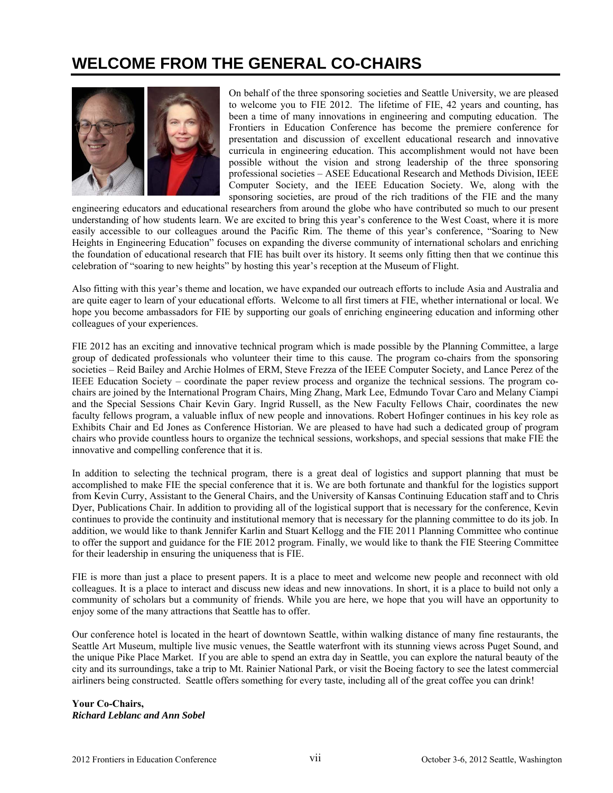## **WELCOME FROM THE GENERAL CO-CHAIRS**



On behalf of the three sponsoring societies and Seattle University, we are pleased to welcome you to FIE 2012. The lifetime of FIE, 42 years and counting, has been a time of many innovations in engineering and computing education. The Frontiers in Education Conference has become the premiere conference for presentation and discussion of excellent educational research and innovative curricula in engineering education. This accomplishment would not have been possible without the vision and strong leadership of the three sponsoring professional societies – ASEE Educational Research and Methods Division, IEEE Computer Society, and the IEEE Education Society. We, along with the sponsoring societies, are proud of the rich traditions of the FIE and the many

engineering educators and educational researchers from around the globe who have contributed so much to our present understanding of how students learn. We are excited to bring this year's conference to the West Coast, where it is more easily accessible to our colleagues around the Pacific Rim. The theme of this year's conference, "Soaring to New Heights in Engineering Education" focuses on expanding the diverse community of international scholars and enriching the foundation of educational research that FIE has built over its history. It seems only fitting then that we continue this celebration of "soaring to new heights" by hosting this year's reception at the Museum of Flight.

Also fitting with this year's theme and location, we have expanded our outreach efforts to include Asia and Australia and are quite eager to learn of your educational efforts. Welcome to all first timers at FIE, whether international or local. We hope you become ambassadors for FIE by supporting our goals of enriching engineering education and informing other colleagues of your experiences.

FIE 2012 has an exciting and innovative technical program which is made possible by the Planning Committee, a large group of dedicated professionals who volunteer their time to this cause. The program co-chairs from the sponsoring societies – Reid Bailey and Archie Holmes of ERM, Steve Frezza of the IEEE Computer Society, and Lance Perez of the IEEE Education Society – coordinate the paper review process and organize the technical sessions. The program cochairs are joined by the International Program Chairs, Ming Zhang, Mark Lee, Edmundo Tovar Caro and Melany Ciampi and the Special Sessions Chair Kevin Gary. Ingrid Russell, as the New Faculty Fellows Chair, coordinates the new faculty fellows program, a valuable influx of new people and innovations. Robert Hofinger continues in his key role as Exhibits Chair and Ed Jones as Conference Historian. We are pleased to have had such a dedicated group of program chairs who provide countless hours to organize the technical sessions, workshops, and special sessions that make FIE the innovative and compelling conference that it is.

In addition to selecting the technical program, there is a great deal of logistics and support planning that must be accomplished to make FIE the special conference that it is. We are both fortunate and thankful for the logistics support from Kevin Curry, Assistant to the General Chairs, and the University of Kansas Continuing Education staff and to Chris Dyer, Publications Chair. In addition to providing all of the logistical support that is necessary for the conference, Kevin continues to provide the continuity and institutional memory that is necessary for the planning committee to do its job. In addition, we would like to thank Jennifer Karlin and Stuart Kellogg and the FIE 2011 Planning Committee who continue to offer the support and guidance for the FIE 2012 program. Finally, we would like to thank the FIE Steering Committee for their leadership in ensuring the uniqueness that is FIE.

FIE is more than just a place to present papers. It is a place to meet and welcome new people and reconnect with old colleagues. It is a place to interact and discuss new ideas and new innovations. In short, it is a place to build not only a community of scholars but a community of friends. While you are here, we hope that you will have an opportunity to enjoy some of the many attractions that Seattle has to offer.

Our conference hotel is located in the heart of downtown Seattle, within walking distance of many fine restaurants, the Seattle Art Museum, multiple live music venues, the Seattle waterfront with its stunning views across Puget Sound, and the unique Pike Place Market. If you are able to spend an extra day in Seattle, you can explore the natural beauty of the city and its surroundings, take a trip to Mt. Rainier National Park, or visit the Boeing factory to see the latest commercial airliners being constructed. Seattle offers something for every taste, including all of the great coffee you can drink!

**Your Co-Chairs,** *Richard Leblanc and Ann Sobel*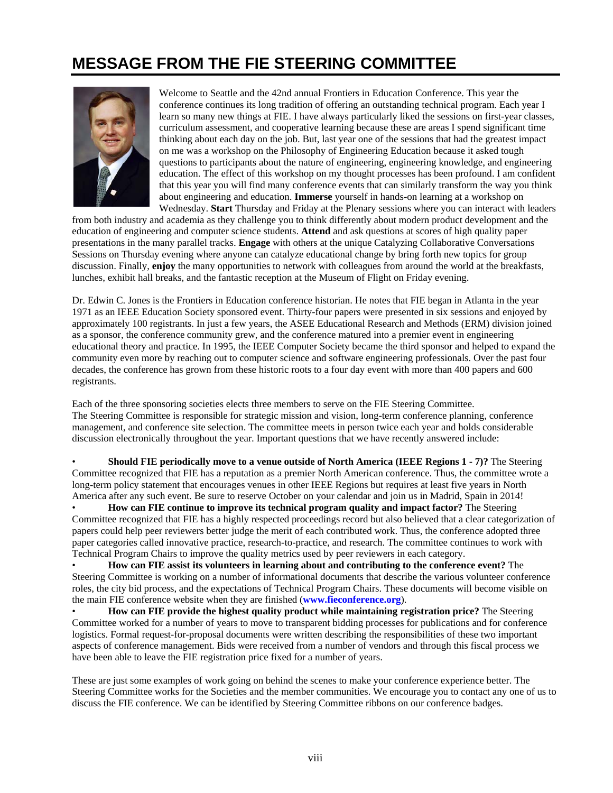# **MESSAGE FROM THE FIE STEERING COMMITTEE**



Welcome to Seattle and the 42nd annual Frontiers in Education Conference. This year the conference continues its long tradition of offering an outstanding technical program. Each year I learn so many new things at FIE. I have always particularly liked the sessions on first-year classes, curriculum assessment, and cooperative learning because these are areas I spend significant time thinking about each day on the job. But, last year one of the sessions that had the greatest impact on me was a workshop on the Philosophy of Engineering Education because it asked tough questions to participants about the nature of engineering, engineering knowledge, and engineering education. The effect of this workshop on my thought processes has been profound. I am confident that this year you will find many conference events that can similarly transform the way you think about engineering and education. **Immerse** yourself in hands-on learning at a workshop on Wednesday. **Start** Thursday and Friday at the Plenary sessions where you can interact with leaders

from both industry and academia as they challenge you to think differently about modern product development and the education of engineering and computer science students. **Attend** and ask questions at scores of high quality paper presentations in the many parallel tracks. **Engage** with others at the unique Catalyzing Collaborative Conversations Sessions on Thursday evening where anyone can catalyze educational change by bring forth new topics for group discussion. Finally, **enjoy** the many opportunities to network with colleagues from around the world at the breakfasts, lunches, exhibit hall breaks, and the fantastic reception at the Museum of Flight on Friday evening.

Dr. Edwin C. Jones is the Frontiers in Education conference historian. He notes that FIE began in Atlanta in the year 1971 as an IEEE Education Society sponsored event. Thirty-four papers were presented in six sessions and enjoyed by approximately 100 registrants. In just a few years, the ASEE Educational Research and Methods (ERM) division joined as a sponsor, the conference community grew, and the conference matured into a premier event in engineering educational theory and practice. In 1995, the IEEE Computer Society became the third sponsor and helped to expand the community even more by reaching out to computer science and software engineering professionals. Over the past four decades, the conference has grown from these historic roots to a four day event with more than 400 papers and 600 registrants.

Each of the three sponsoring societies elects three members to serve on the FIE Steering Committee. The Steering Committee is responsible for strategic mission and vision, long-term conference planning, conference management, and conference site selection. The committee meets in person twice each year and holds considerable discussion electronically throughout the year. Important questions that we have recently answered include:

• **Should FIE periodically move to a venue outside of North America (IEEE Regions 1 - 7)?** The Steering Committee recognized that FIE has a reputation as a premier North American conference. Thus, the committee wrote a long-term policy statement that encourages venues in other IEEE Regions but requires at least five years in North America after any such event. Be sure to reserve October on your calendar and join us in Madrid, Spain in 2014!

• **How can FIE continue to improve its technical program quality and impact factor?** The Steering Committee recognized that FIE has a highly respected proceedings record but also believed that a clear categorization of papers could help peer reviewers better judge the merit of each contributed work. Thus, the conference adopted three paper categories called innovative practice, research-to-practice, and research. The committee continues to work with Technical Program Chairs to improve the quality metrics used by peer reviewers in each category.

• **How can FIE assist its volunteers in learning about and contributing to the conference event?** The Steering Committee is working on a number of informational documents that describe the various volunteer conference roles, the city bid process, and the expectations of Technical Program Chairs. These documents will become visible on the main FIE conference website when they are finished (**[www.fieconference.org](www.fie-conference.org)**).

• **How can FIE provide the highest quality product while maintaining registration price?** The Steering Committee worked for a number of years to move to transparent bidding processes for publications and for conference logistics. Formal request-for-proposal documents were written describing the responsibilities of these two important aspects of conference management. Bids were received from a number of vendors and through this fiscal process we have been able to leave the FIE registration price fixed for a number of years.

These are just some examples of work going on behind the scenes to make your conference experience better. The Steering Committee works for the Societies and the member communities. We encourage you to contact any one of us to discuss the FIE conference. We can be identified by Steering Committee ribbons on our conference badges.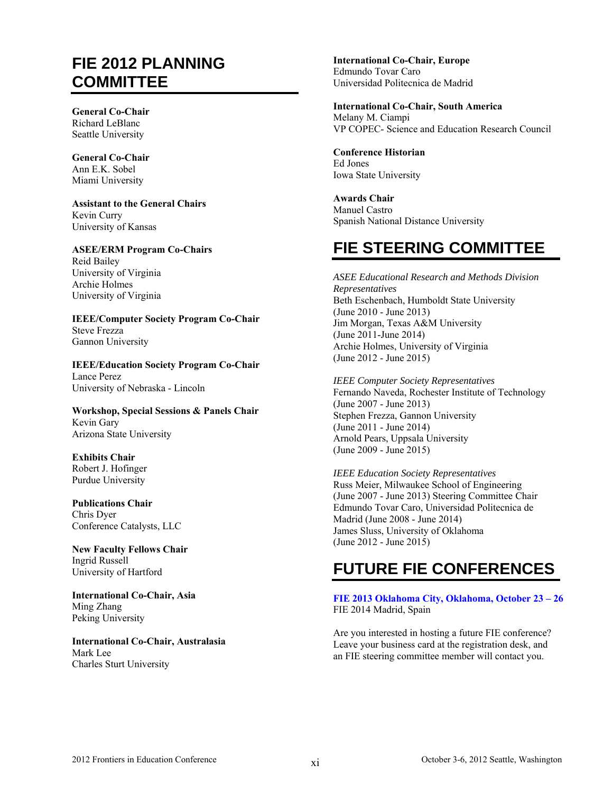### **FIE 2012 PLANNING COMMITTEE**

**General Co-Chair**  Richard LeBlanc Seattle University

**General Co-Chair**  Ann E.K. Sobel Miami University

**Assistant to the General Chairs**  Kevin Curry University of Kansas

**ASEE/ERM Program Co-Chairs**  Reid Bailey University of Virginia Archie Holmes University of Virginia

**IEEE/Computer Society Program Co-Chair**  Steve Frezza Gannon University

**IEEE/Education Society Program Co-Chair**  Lance Perez University of Nebraska - Lincoln

**Workshop, Special Sessions & Panels Chair**  Kevin Gary Arizona State University

**Exhibits Chair**  Robert J. Hofinger Purdue University

**Publications Chair**  Chris Dyer Conference Catalysts, LLC

**New Faculty Fellows Chair**  Ingrid Russell University of Hartford

**International Co-Chair, Asia**  Ming Zhang Peking University

**International Co-Chair, Australasia**  Mark Lee Charles Sturt University

**International Co-Chair, Europe**  Edmundo Tovar Caro Universidad Politecnica de Madrid

**International Co-Chair, South America**  Melany M. Ciampi VP COPEC- Science and Education Research Council

**Conference Historian**  Ed Jones Iowa State University

**Awards Chair**  Manuel Castro Spanish National Distance University

# **FIE STEERING COMMITTEE**

*ASEE Educational Research and Methods Division Representatives*  Beth Eschenbach, Humboldt State University (June 2010 - June 2013) Jim Morgan, Texas A&M University (June 2011-June 2014) Archie Holmes, University of Virginia (June 2012 - June 2015)

*IEEE Computer Society Representatives*  Fernando Naveda, Rochester Institute of Technology (June 2007 - June 2013) Stephen Frezza, Gannon University (June 2011 - June 2014) Arnold Pears, Uppsala University (June 2009 - June 2015)

*IEEE Education Society Representatives*  Russ Meier, Milwaukee School of Engineering (June 2007 - June 2013) Steering Committee Chair Edmundo Tovar Caro, Universidad Politecnica de Madrid (June 2008 - June 2014) James Sluss, University of Oklahoma (June 2012 - June 2015)

## **FUTURE FIE CONFERENCES**

**[FIE 2013 Oklahoma City, Oklahoma, October 23 – 26](www.fie2013.org)**  FIE 2014 Madrid, Spain

Are you interested in hosting a future FIE conference? Leave your business card at the registration desk, and an FIE steering committee member will contact you.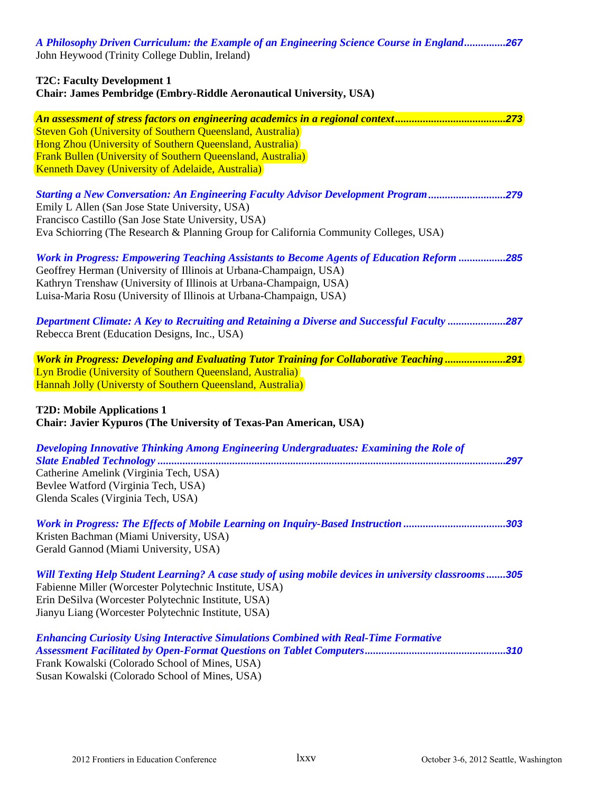*A Philosophy Driven Curriculum: the Example of an Engineering Science Course in England* **...............** *267* John Heywood (Trinity College Dublin, Ireland)

| <b>T2C: Faculty Development 1</b><br>Chair: James Pembridge (Embry-Riddle Aeronautical University, USA)                                                                                                                                                                                                           |  |  |
|-------------------------------------------------------------------------------------------------------------------------------------------------------------------------------------------------------------------------------------------------------------------------------------------------------------------|--|--|
| Steven Goh (University of Southern Queensland, Australia)<br>Hong Zhou (University of Southern Queensland, Australia)<br><b>Frank Bullen (University of Southern Queensland, Australia)</b><br><b>Kenneth Davey (University of Adelaide, Australia)</b>                                                           |  |  |
| <b>Starting a New Conversation: An Engineering Faculty Advisor Development Program 279</b><br>Emily L Allen (San Jose State University, USA)<br>Francisco Castillo (San Jose State University, USA)<br>Eva Schiorring (The Research & Planning Group for California Community Colleges, USA)                      |  |  |
| <b>Work in Progress: Empowering Teaching Assistants to Become Agents of Education Reform 285</b><br>Geoffrey Herman (University of Illinois at Urbana-Champaign, USA)<br>Kathryn Trenshaw (University of Illinois at Urbana-Champaign, USA)<br>Luisa-Maria Rosu (University of Illinois at Urbana-Champaign, USA) |  |  |
| Department Climate: A Key to Recruiting and Retaining a Diverse and Successful Faculty 287<br>Rebecca Brent (Education Designs, Inc., USA)                                                                                                                                                                        |  |  |
| Work in Progress: Developing and Evaluating Tutor Training for Collaborative Teaching291<br>Lyn Brodie (University of Southern Queensland, Australia)<br>Hannah Jolly (Universty of Southern Queensland, Australia)<br><b>T2D: Mobile Applications 1</b>                                                          |  |  |
| Chair: Javier Kypuros (The University of Texas-Pan American, USA)                                                                                                                                                                                                                                                 |  |  |
| Developing Innovative Thinking Among Engineering Undergraduates: Examining the Role of<br>.297<br>Catherine Amelink (Virginia Tech, USA)<br>Bevlee Watford (Virginia Tech, USA)<br>Glenda Scales (Virginia Tech, USA)                                                                                             |  |  |
| Work in Progress: The Effects of Mobile Learning on Inquiry-Based Instruction 303<br>Kristen Bachman (Miami University, USA)<br>Gerald Gannod (Miami University, USA)                                                                                                                                             |  |  |
| Will Texting Help Student Learning? A case study of using mobile devices in university classrooms305<br>Fabienne Miller (Worcester Polytechnic Institute, USA)<br>Erin DeSilva (Worcester Polytechnic Institute, USA)<br>Jianyu Liang (Worcester Polytechnic Institute, USA)                                      |  |  |
| <b>Enhancing Curiosity Using Interactive Simulations Combined with Real-Time Formative</b><br>Frank Kowalski (Colorado School of Mines, USA)                                                                                                                                                                      |  |  |

Susan Kowalski (Colorado School of Mines, USA)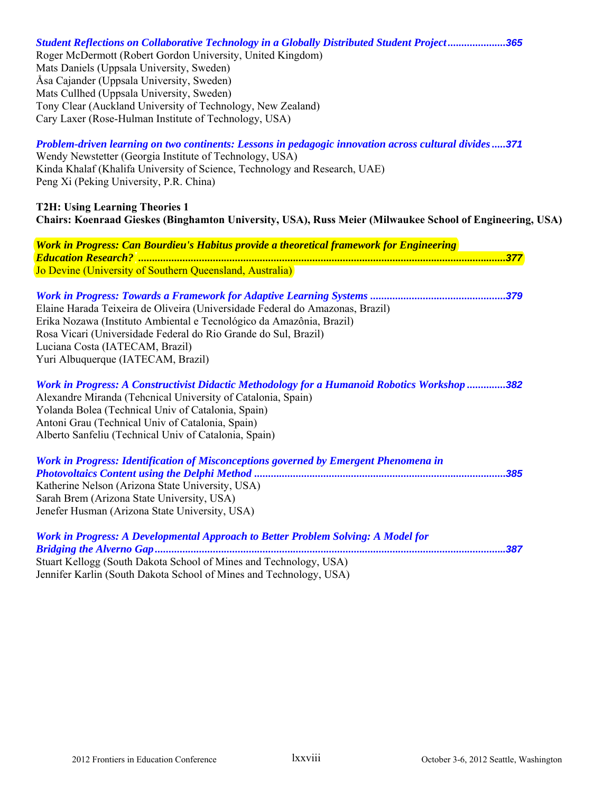*Student Reflections on Collaborative Technology in a Globally Distributed Student Project* **.....................** *365* Roger McDermott (Robert Gordon University, United Kingdom) Mats Daniels (Uppsala University, Sweden) Åsa Cajander (Uppsala University, Sweden) Mats Cullhed (Uppsala University, Sweden) Tony Clear (Auckland University of Technology, New Zealand) Cary Laxer (Rose-Hulman Institute of Technology, USA)

*Problem-driven learning on two continents: Lessons in pedagogic innovation across cultural divides* **.....** *371* Wendy Newstetter (Georgia Institute of Technology, USA) Kinda Khalaf (Khalifa University of Science, Technology and Research, UAE) Peng Xi (Peking University, P.R. China)

**T2H: Using Learning Theories 1 Chairs: Koenraad Gieskes (Binghamton University, USA), Russ Meier (Milwaukee School of Engineering, USA)** 

*Work in Progress: Can Bourdieu's Habitus provide a theoretical framework for Engineering Education Research?* **.....................................................................................................................................** *377* Jo Devine (University of Southern Queensland, Australia)

*Work in Progress: Towards a Framework for Adaptive Learning Systems* **.................................................** *379* Elaine Harada Teixeira de Oliveira (Universidade Federal do Amazonas, Brazil) Erika Nozawa (Instituto Ambiental e Tecnológico da Amazônia, Brazil) Rosa Vicari (Universidade Federal do Rio Grande do Sul, Brazil) Luciana Costa (IATECAM, Brazil) Yuri Albuquerque (IATECAM, Brazil)

*Work in Progress: A Constructivist Didactic Methodology for a Humanoid Robotics Workshop* **..............** *382* Alexandre Miranda (Tehcnical University of Catalonia, Spain) Yolanda Bolea (Technical Univ of Catalonia, Spain) Antoni Grau (Technical Univ of Catalonia, Spain) Alberto Sanfeliu (Technical Univ of Catalonia, Spain)

*Work in Progress: Identification of Misconceptions governed by Emergent Phenomena in Photovoltaics Content using the Delphi Method* **...........................................................................................** *385* Katherine Nelson (Arizona State University, USA) Sarah Brem (Arizona State University, USA) Jenefer Husman (Arizona State University, USA)

*Work in Progress: A Developmental Approach to Better Problem Solving: A Model for Bridging the Alverno Gap* **...............................................................................................................................** *387* Stuart Kellogg (South Dakota School of Mines and Technology, USA) Jennifer Karlin (South Dakota School of Mines and Technology, USA)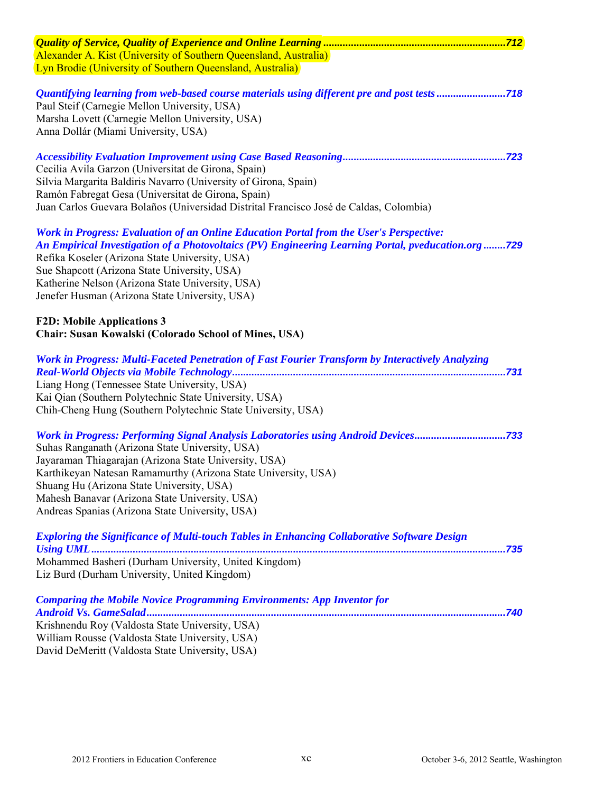| Alexander A. Kist (University of Southern Queensland, Australia)                                                                                                                                                                                                                                                                                                                                                   |
|--------------------------------------------------------------------------------------------------------------------------------------------------------------------------------------------------------------------------------------------------------------------------------------------------------------------------------------------------------------------------------------------------------------------|
| Lyn Brodie (University of Southern Queensland, Australia)                                                                                                                                                                                                                                                                                                                                                          |
| <b>Quantifying learning from web-based course materials using different pre and post tests 718</b><br>Paul Steif (Carnegie Mellon University, USA)<br>Marsha Lovett (Carnegie Mellon University, USA)<br>Anna Dollár (Miami University, USA)                                                                                                                                                                       |
| Cecilia Avila Garzon (Universitat de Girona, Spain)<br>Silvia Margarita Baldiris Navarro (University of Girona, Spain)<br>Ramón Fabregat Gesa (Universitat de Girona, Spain)<br>Juan Carlos Guevara Bolaños (Universidad Distrital Francisco José de Caldas, Colombia)                                                                                                                                             |
| Work in Progress: Evaluation of an Online Education Portal from the User's Perspective:<br>An Empirical Investigation of a Photovoltaics (PV) Engineering Learning Portal, pveducation.org729<br>Refika Koseler (Arizona State University, USA)<br>Sue Shapcott (Arizona State University, USA)<br>Katherine Nelson (Arizona State University, USA)<br>Jenefer Husman (Arizona State University, USA)              |
| <b>F2D: Mobile Applications 3</b><br>Chair: Susan Kowalski (Colorado School of Mines, USA)                                                                                                                                                                                                                                                                                                                         |
| Work in Progress: Multi-Faceted Penetration of Fast Fourier Transform by Interactively Analyzing<br>Liang Hong (Tennessee State University, USA)<br>Kai Qian (Southern Polytechnic State University, USA)<br>Chih-Cheng Hung (Southern Polytechnic State University, USA)                                                                                                                                          |
| Vork in Progress: Performing Signal Analysis Laboratories using Android Devices733<br>Suhas Ranganath (Arizona State University, USA)<br>Jayaraman Thiagarajan (Arizona State University, USA)<br>Karthikeyan Natesan Ramamurthy (Arizona State University, USA)<br>Shuang Hu (Arizona State University, USA)<br>Mahesh Banavar (Arizona State University, USA)<br>Andreas Spanias (Arizona State University, USA) |
| <b>Exploring the Significance of Multi-touch Tables in Enhancing Collaborative Software Design</b><br>Mohammed Basheri (Durham University, United Kingdom)<br>Liz Burd (Durham University, United Kingdom)                                                                                                                                                                                                         |
| <b>Comparing the Mobile Novice Programming Environments: App Inventor for</b><br>Krishnendu Roy (Valdosta State University, USA)<br>William Rousse (Valdosta State University, USA)<br>David DeMeritt (Valdosta State University, USA)                                                                                                                                                                             |